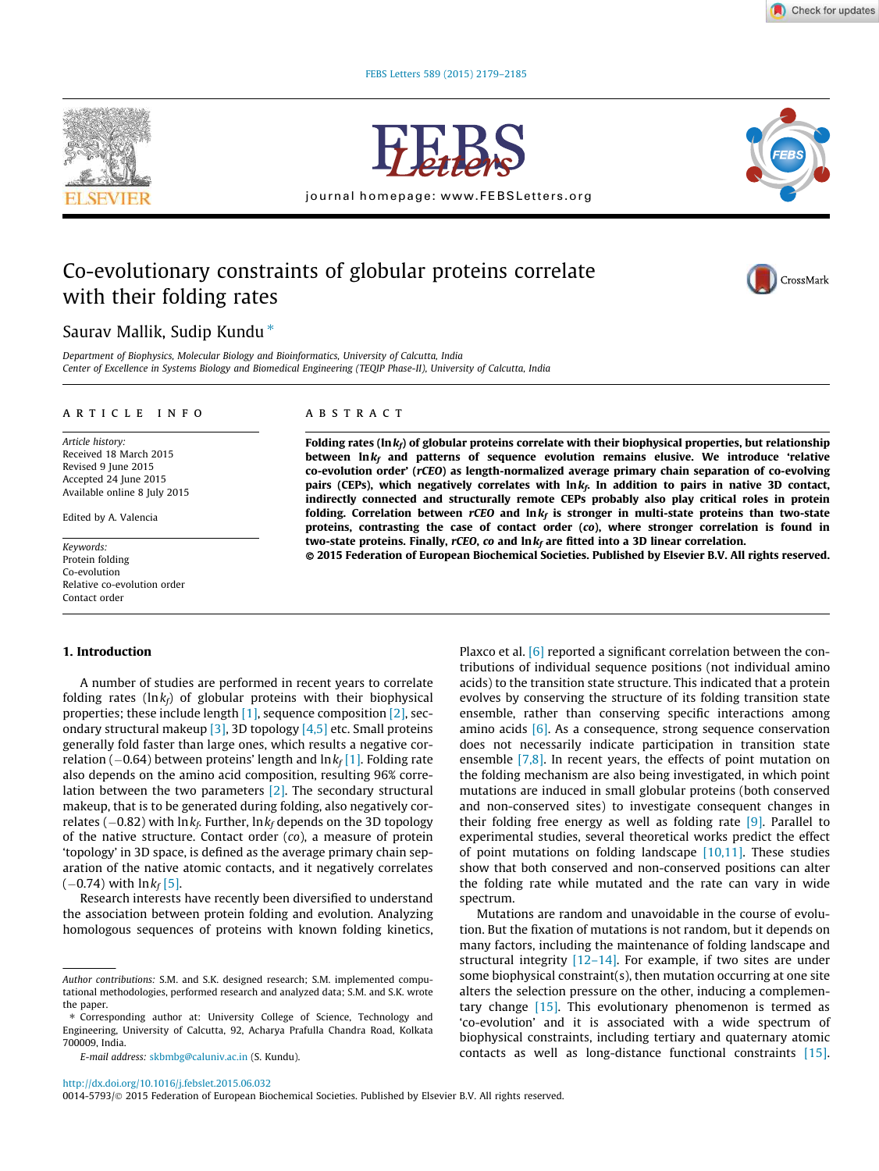Check for updates

FEBS Letters 589 (2015) 2179–2185



journal homepage: www.FEBSLetters.org



# Co-evolutionary constraints of globular proteins correlate with their folding rates



## Saurav Mallik, Sudip Kundu\*

Department of Biophysics, Molecular Biology and Bioinformatics, University of Calcutta, India Center of Excellence in Systems Biology and Biomedical Engineering (TEQIP Phase-II), University of Calcutta, India

#### article info

Article history: Received 18 March 2015 Revised 9 June 2015 Accepted 24 June 2015 Available online 8 July 2015

Edited by A. Valencia

Keywords: Protein folding Co-evolution Relative co-evolution order Contact order

#### 1. Introduction

A number of studies are performed in recent years to correlate folding rates ( $\ln k_f$ ) of globular proteins with their biophysical properties; these include length [1], sequence composition [2], secondary structural makeup  $\left[3\right]$ , 3D topology  $\left[4,5\right]$  etc. Small proteins generally fold faster than large ones, which results a negative correlation (–0.64) between proteins' length and  $\ln k_f$  [1]. Folding rate also depends on the amino acid composition, resulting 96% correlation between the two parameters  $[2]$ . The secondary structural makeup, that is to be generated during folding, also negatively correlates (–0.82) with  $\ln k_f$ . Further,  $\ln k_f$  depends on the 3D topology of the native structure. Contact order (co), a measure of protein 'topology' in 3D space, is defined as the average primary chain separation of the native atomic contacts, and it negatively correlates  $(-0.74)$  with  $ln k_f$  [5].

Research interests have recently been diversified to understand the association between protein folding and evolution. Analyzing homologous sequences of proteins with known folding kinetics,

E-mail address: skbmbg@caluniv.ac.in (S. Kundu).

### ABSTRACT

Folding rates ( $\ln k_f$ ) of globular proteins correlate with their biophysical properties, but relationship between  $\ln k_f$  and patterns of sequence evolution remains elusive. We introduce 'relative co-evolution order' (rCEO) as length-normalized average primary chain separation of co-evolving pairs (CEPs), which negatively correlates with  $ln k_f$ . In addition to pairs in native 3D contact, indirectly connected and structurally remote CEPs probably also play critical roles in protein folding. Correlation between rCEO and  $\ln k_f$  is stronger in multi-state proteins than two-state proteins, contrasting the case of contact order (co), where stronger correlation is found in two-state proteins. Finally, rCEO, co and  $\ln k_f$  are fitted into a 3D linear correlation.

- 2015 Federation of European Biochemical Societies. Published by Elsevier B.V. All rights reserved.

Plaxco et al. [6] reported a significant correlation between the contributions of individual sequence positions (not individual amino acids) to the transition state structure. This indicated that a protein evolves by conserving the structure of its folding transition state ensemble, rather than conserving specific interactions among amino acids  $[6]$ . As a consequence, strong sequence conservation does not necessarily indicate participation in transition state ensemble [7,8]. In recent years, the effects of point mutation on the folding mechanism are also being investigated, in which point mutations are induced in small globular proteins (both conserved and non-conserved sites) to investigate consequent changes in their folding free energy as well as folding rate [9]. Parallel to experimental studies, several theoretical works predict the effect of point mutations on folding landscape [10,11]. These studies show that both conserved and non-conserved positions can alter the folding rate while mutated and the rate can vary in wide spectrum.

Mutations are random and unavoidable in the course of evolution. But the fixation of mutations is not random, but it depends on many factors, including the maintenance of folding landscape and structural integrity  $[12-14]$ . For example, if two sites are under some biophysical constraint(s), then mutation occurring at one site alters the selection pressure on the other, inducing a complementary change  $[15]$ . This evolutionary phenomenon is termed as 'co-evolution' and it is associated with a wide spectrum of biophysical constraints, including tertiary and quaternary atomic contacts as well as long-distance functional constraints [15].

http://dx.doi.org/10.1016/j.febslet.2015.06.032

0014-5793/© 2015 Federation of European Biochemical Societies. Published by Elsevier B.V. All rights reserved.



Author contributions: S.M. and S.K. designed research; S.M. implemented computational methodologies, performed research and analyzed data; S.M. and S.K. wrote the paper.

<sup>⇑</sup> Corresponding author at: University College of Science, Technology and Engineering, University of Calcutta, 92, Acharya Prafulla Chandra Road, Kolkata 700009, India.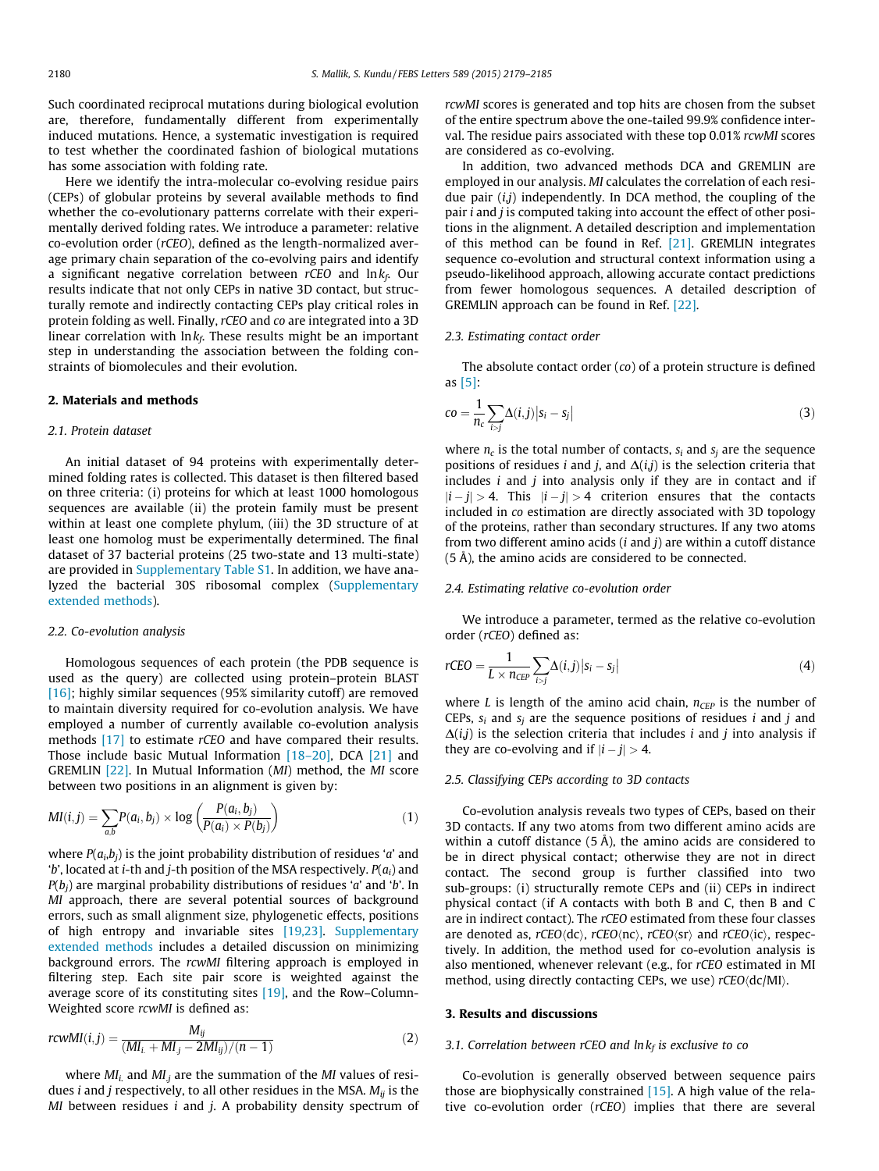Such coordinated reciprocal mutations during biological evolution are, therefore, fundamentally different from experimentally induced mutations. Hence, a systematic investigation is required to test whether the coordinated fashion of biological mutations has some association with folding rate.

Here we identify the intra-molecular co-evolving residue pairs (CEPs) of globular proteins by several available methods to find whether the co-evolutionary patterns correlate with their experimentally derived folding rates. We introduce a parameter: relative co-evolution order (rCEO), defined as the length-normalized average primary chain separation of the co-evolving pairs and identify a significant negative correlation between  $r$ CEO and  $\ln k_f$ . Our results indicate that not only CEPs in native 3D contact, but structurally remote and indirectly contacting CEPs play critical roles in protein folding as well. Finally, rCEO and co are integrated into a 3D linear correlation with ln $k_{\it f\cdot}$  These results might be an important step in understanding the association between the folding constraints of biomolecules and their evolution.

#### 2. Materials and methods

#### 2.1. Protein dataset

An initial dataset of 94 proteins with experimentally determined folding rates is collected. This dataset is then filtered based on three criteria: (i) proteins for which at least 1000 homologous sequences are available (ii) the protein family must be present within at least one complete phylum, (iii) the 3D structure of at least one homolog must be experimentally determined. The final dataset of 37 bacterial proteins (25 two-state and 13 multi-state) are provided in Supplementary Table S1. In addition, we have analyzed the bacterial 30S ribosomal complex (Supplementary extended methods).

#### 2.2. Co-evolution analysis

Homologous sequences of each protein (the PDB sequence is used as the query) are collected using protein–protein BLAST [16]; highly similar sequences (95% similarity cutoff) are removed to maintain diversity required for co-evolution analysis. We have employed a number of currently available co-evolution analysis methods [17] to estimate rCEO and have compared their results. Those include basic Mutual Information [18–20], DCA [21] and GREMLIN [22]. In Mutual Information (MI) method, the MI score between two positions in an alignment is given by:

$$
MI(i,j) = \sum_{a,b} P(a_i, b_j) \times \log \left( \frac{P(a_i, b_j)}{P(a_i) \times P(b_j)} \right) \tag{1}
$$

where  $P(a_i, b_j)$  is the joint probability distribution of residues 'a' and 'b', located at *i*-th and *j*-th position of the MSA respectively.  $P(a_i)$  and  $P(b_i)$  are marginal probability distributions of residues 'a' and 'b'. In MI approach, there are several potential sources of background errors, such as small alignment size, phylogenetic effects, positions of high entropy and invariable sites [19,23]. Supplementary extended methods includes a detailed discussion on minimizing background errors. The rcwMI filtering approach is employed in filtering step. Each site pair score is weighted against the average score of its constituting sites [19], and the Row–Column-Weighted score rcwMI is defined as:

$$
rcwMI(i,j) = \frac{M_{ij}}{(MI_{i.} + MI_{j} - 2MI_{ij})/(n-1)}
$$
(2)

where  $MI_i$  and  $MI_j$  are the summation of the MI values of residues *i* and *j* respectively, to all other residues in the MSA.  $M_{ij}$  is the  $MI$  between residues  $i$  and  $j$ . A probability density spectrum of rcwMI scores is generated and top hits are chosen from the subset of the entire spectrum above the one-tailed 99.9% confidence interval. The residue pairs associated with these top 0.01% rcwMI scores are considered as co-evolving.

In addition, two advanced methods DCA and GREMLIN are employed in our analysis. MI calculates the correlation of each residue pair  $(i,j)$  independently. In DCA method, the coupling of the pair *i* and *j* is computed taking into account the effect of other positions in the alignment. A detailed description and implementation of this method can be found in Ref. [21]. GREMLIN integrates sequence co-evolution and structural context information using a pseudo-likelihood approach, allowing accurate contact predictions from fewer homologous sequences. A detailed description of GREMLIN approach can be found in Ref. [22].

#### 2.3. Estimating contact order

The absolute contact order (co) of a protein structure is defined as [5]:

$$
co = \frac{1}{n_c} \sum_{i>j} \Delta(i,j) |s_i - s_j|
$$
\n(3)

where  $n_c$  is the total number of contacts,  $s_i$  and  $s_j$  are the sequence positions of residues *i* and *j*, and  $\Delta(i,j)$  is the selection criteria that includes  $i$  and  $j$  into analysis only if they are in contact and if  $|i-j| > 4$ . This  $|i-j| > 4$  criterion ensures that the contacts included in co estimation are directly associated with 3D topology of the proteins, rather than secondary structures. If any two atoms from two different amino acids  $(i$  and  $j)$  are within a cutoff distance  $(5 \text{ Å})$ , the amino acids are considered to be connected.

#### 2.4. Estimating relative co-evolution order

We introduce a parameter, termed as the relative co-evolution order (rCEO) defined as:

$$
rCEO = \frac{1}{L \times n_{CEP}} \sum_{i>j} \Delta(i,j) |s_i - s_j|
$$
\n(4)

where L is length of the amino acid chain,  $n_{CEP}$  is the number of CEPs,  $s_i$  and  $s_j$  are the sequence positions of residues i and j and  $\Delta(i,j)$  is the selection criteria that includes *i* and *j* into analysis if they are co-evolving and if  $|i - j| > 4$ .

#### 2.5. Classifying CEPs according to 3D contacts

Co-evolution analysis reveals two types of CEPs, based on their 3D contacts. If any two atoms from two different amino acids are within a cutoff distance (5 Å), the amino acids are considered to be in direct physical contact; otherwise they are not in direct contact. The second group is further classified into two sub-groups: (i) structurally remote CEPs and (ii) CEPs in indirect physical contact (if A contacts with both B and C, then B and C are in indirect contact). The rCEO estimated from these four classes are denoted as,  $rCEO\langle dc\rangle$ ,  $rCEO\langle nc\rangle$ ,  $rCEO\langle sr\rangle$  and  $rCEO\langle ic\rangle$ , respectively. In addition, the method used for co-evolution analysis is also mentioned, whenever relevant (e.g., for rCEO estimated in MI method, using directly contacting CEPs, we use)  $rCEO\langle dc/MI\rangle$ .

#### 3. Results and discussions

#### 3.1. Correlation between rCEO and  $\ln k_f$  is exclusive to co

Co-evolution is generally observed between sequence pairs those are biophysically constrained [15]. A high value of the relative co-evolution order (rCEO) implies that there are several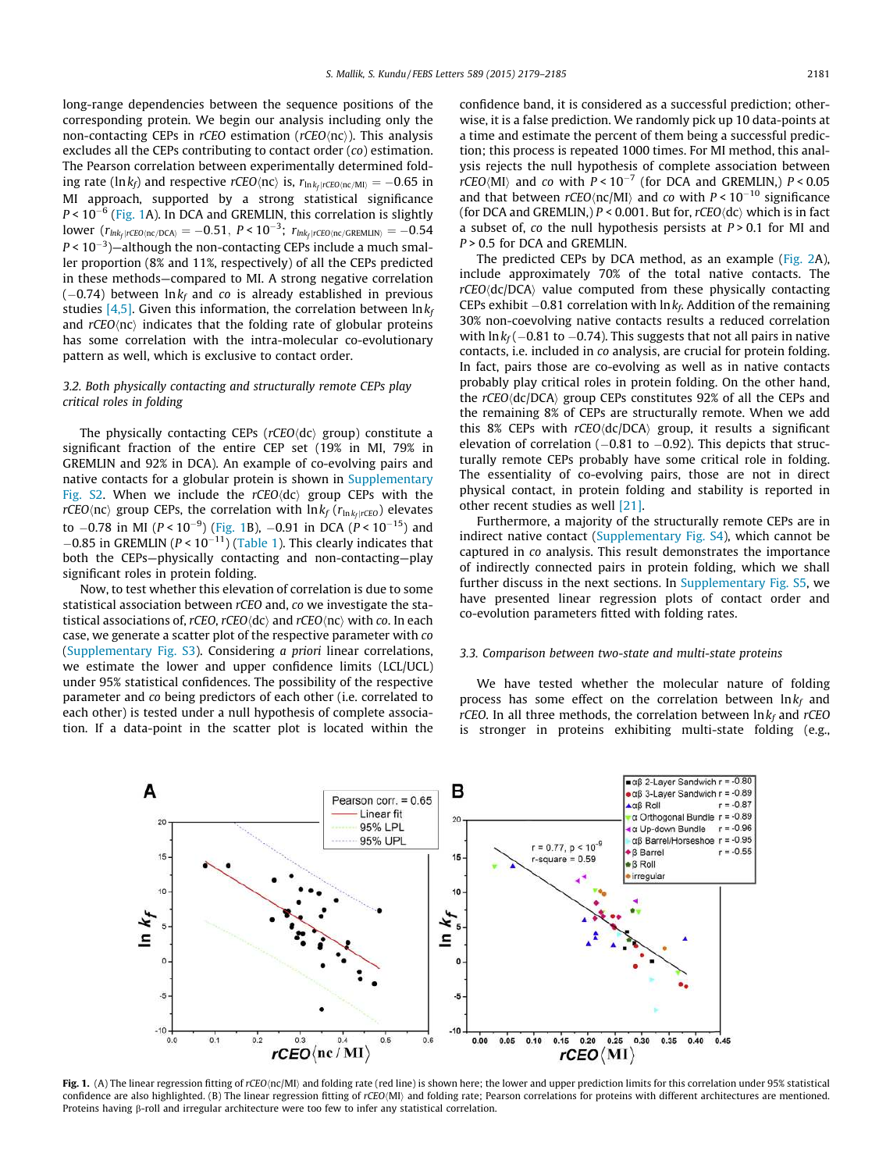long-range dependencies between the sequence positions of the corresponding protein. We begin our analysis including only the non-contacting CEPs in rCEO estimation ( $rCEO(nc)$ ). This analysis excludes all the CEPs contributing to contact order (co) estimation. The Pearson correlation between experimentally determined folding rate (ln $k_{\it f}$ ) and respective rCEO $\langle$ nc $\rangle$  is,  $r_{\ln k_{\it f}|r\in EO(n{\it c}/\rm M{\it l})}=-0.65$  in MI approach, supported by a strong statistical significance  $P$  < 10<sup>-6</sup> (Fig. 1A). In DCA and GREMLIN, this correlation is slightly  ${\rm lower}\,\left(r_{\rm ink_f}$ iceo(nc/DCA)  $=-0.51,\;P$  <  $10^{-3};\,\,r_{\rm thrk_f}$ iceo(nc/GREMLIN)  $=-0.54$  $P$  < 10<sup>-3</sup>)—although the non-contacting CEPs include a much smaller proportion (8% and 11%, respectively) of all the CEPs predicted in these methods—compared to MI. A strong negative correlation  $(-0.74)$  between ln $k_f$  and co is already established in previous studies [4,5]. Given this information, the correlation between  $\ln k_f$ and  $rCEO\langle$ nc $\rangle$  indicates that the folding rate of globular proteins has some correlation with the intra-molecular co-evolutionary pattern as well, which is exclusive to contact order.

#### 3.2. Both physically contacting and structurally remote CEPs play critical roles in folding

The physically contacting CEPs ( $rCEO\langle dc\rangle$  group) constitute a significant fraction of the entire CEP set (19% in MI, 79% in GREMLIN and 92% in DCA). An example of co-evolving pairs and native contacts for a globular protein is shown in Supplementary Fig. S2. When we include the  $rCEO\langle dc\rangle$  group CEPs with the rCEO $\langle$ nc $\rangle$  group CEPs, the correlation with ln $k_f$  ( $r_{\ln k_f|r\text{(E6)}}$ ) elevates to  $-0.78$  in MI ( $P < 10^{-9}$ ) (Fig. 1B),  $-0.91$  in DCA ( $P < 10^{-15}$ ) and  $-0.85$  in GREMLIN ( $P < 10^{-11}$ ) (Table 1). This clearly indicates that both the CEPs—physically contacting and non-contacting—play significant roles in protein folding.

Now, to test whether this elevation of correlation is due to some statistical association between rCEO and, co we investigate the statistical associations of,  $rCEO$ ,  $rCEO\langle dc \rangle$  and  $rCEO\langle nc \rangle$  with co. In each case, we generate a scatter plot of the respective parameter with co (Supplementary Fig. S3). Considering a priori linear correlations, we estimate the lower and upper confidence limits (LCL/UCL) under 95% statistical confidences. The possibility of the respective parameter and co being predictors of each other (i.e. correlated to each other) is tested under a null hypothesis of complete association. If a data-point in the scatter plot is located within the confidence band, it is considered as a successful prediction; otherwise, it is a false prediction. We randomly pick up 10 data-points at a time and estimate the percent of them being a successful prediction; this process is repeated 1000 times. For MI method, this analysis rejects the null hypothesis of complete association between rCEO $\langle$ MI $\rangle$  and co with  $P < 10^{-7}$  (for DCA and GREMLIN,)  $P < 0.05$ and that between  $rCEO\langle n c/Ml \rangle$  and co with  $P < 10^{-10}$  significance (for DCA and GREMLIN,)  $P < 0.001$ . But for,  $rCEO\langle dc \rangle$  which is in fact a subset of, co the null hypothesis persists at  $P > 0.1$  for MI and  $P > 0.5$  for DCA and GREMLIN.

The predicted CEPs by DCA method, as an example (Fig. 2A), include approximately 70% of the total native contacts. The  $rCEO$ (dc/DCA) value computed from these physically contacting CEPs exhibit  $-0.81$  correlation with  $\ln k_f$ . Addition of the remaining 30% non-coevolving native contacts results a reduced correlation with  $\ln k_f (-0.81 \text{ to } -0.74)$ . This suggests that not all pairs in native contacts, i.e. included in co analysis, are crucial for protein folding. In fact, pairs those are co-evolving as well as in native contacts probably play critical roles in protein folding. On the other hand, the  $rCEO\langle dc/DCA\rangle$  group CEPs constitutes 92% of all the CEPs and the remaining 8% of CEPs are structurally remote. When we add this 8% CEPs with  $r$ CEO $\langle$ dc/DCA $\rangle$  group, it results a significant elevation of correlation  $(-0.81$  to  $-0.92)$ . This depicts that structurally remote CEPs probably have some critical role in folding. The essentiality of co-evolving pairs, those are not in direct physical contact, in protein folding and stability is reported in other recent studies as well [21].

Furthermore, a majority of the structurally remote CEPs are in indirect native contact (Supplementary Fig. S4), which cannot be captured in co analysis. This result demonstrates the importance of indirectly connected pairs in protein folding, which we shall further discuss in the next sections. In Supplementary Fig. S5, we have presented linear regression plots of contact order and co-evolution parameters fitted with folding rates.

#### 3.3. Comparison between two-state and multi-state proteins

We have tested whether the molecular nature of folding process has some effect on the correlation between  $\ln k_f$  and rCEO. In all three methods, the correlation between  $\ln k_f$  and rCEO is stronger in proteins exhibiting multi-state folding (e.g.,



Fig. 1. (A) The linear regression fitting of rCEO(nc/MI) and folding rate (red line) is shown here; the lower and upper prediction limits for this correlation under 95% statistical confidence are also highlighted. (B) The linear regression fitting of rCEO(MI) and folding rate; Pearson correlations for proteins with different architectures are mentioned. Proteins having  $\beta$ -roll and irregular architecture were too few to infer any statistical correlation.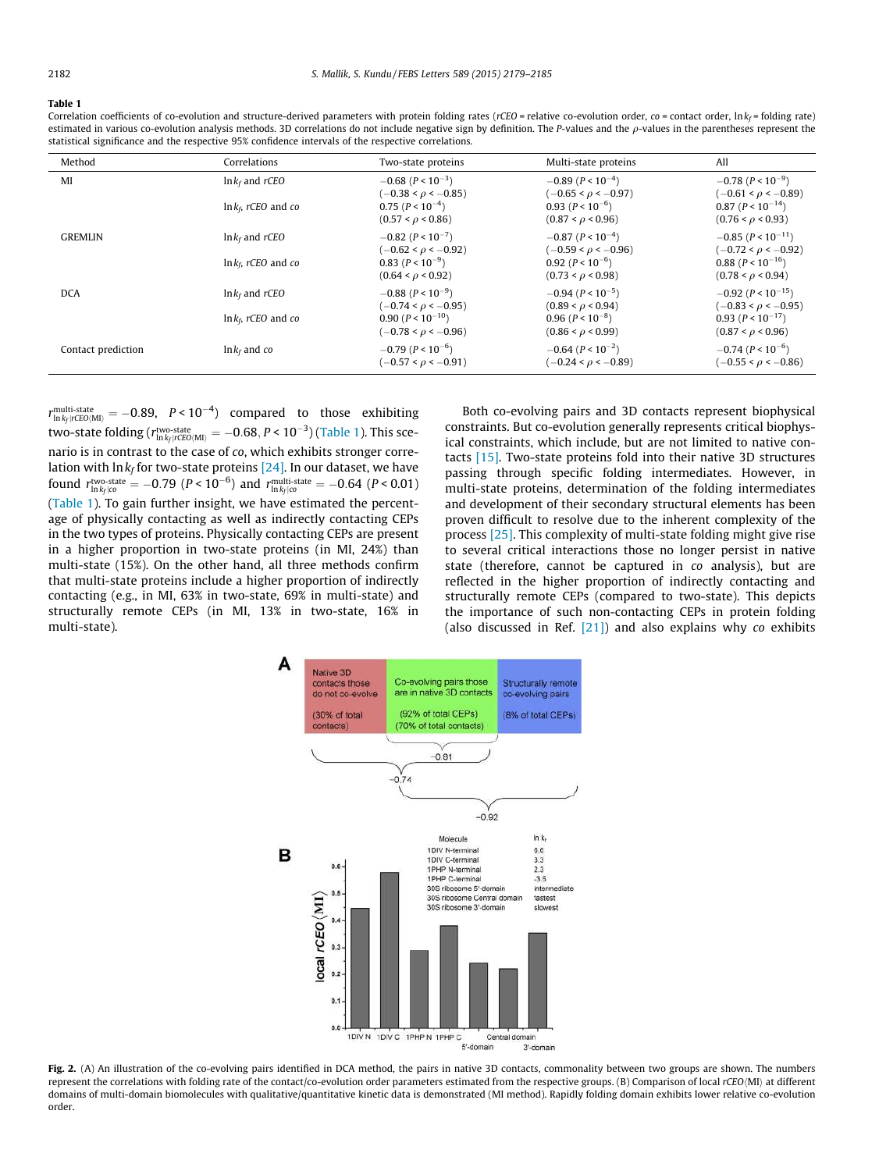#### Table 1

Correlation coefficients of co-evolution and structure-derived parameters with protein folding rates ( $rCEO$  = relative co-evolution order,  $co$  = contact order,  $\ln k_f$  = folding rate) estimated in various co-evolution analysis methods. 3D correlations do not include negative sign by definition. The P-values and the  $\rho$ -values in the parentheses represent the statistical significance and the respective 95% confidence intervals of the respective correlations.

| Method             | Correlations           | Two-state proteins                                                         | Multi-state proteins                                                       | All                                                                         |
|--------------------|------------------------|----------------------------------------------------------------------------|----------------------------------------------------------------------------|-----------------------------------------------------------------------------|
| MI                 | $ln k_f$ and rCEO      | $-0.68$ (P < 10 <sup>-3</sup> )                                            | $-0.89$ ( $P < 10^{-4}$ )                                                  | $-0.78$ (P < 10 <sup>-9</sup> )                                             |
|                    | $ln k_f$ , rCEO and co | $(-0.38 < \rho < -0.85)$<br>$0.75 (P < 10^{-4})$<br>$(0.57 < \rho < 0.86)$ | $(-0.65 < \rho < -0.97)$<br>0.93 $(P < 10^{-6})$<br>$(0.87 < \rho < 0.96)$ | $(-0.61 < \rho < -0.89)$<br>$0.87 (P < 10^{-14})$<br>$(0.76 < \rho < 0.93)$ |
| <b>GREMLIN</b>     | $ln k_f$ and rCEO      | $-0.82$ (P < 10 <sup>-7</sup> )<br>$(-0.62 < \rho < -0.92)$                | $-0.87$ (P < 10 <sup>-4</sup> )<br>$(-0.59 < \rho < -0.96)$                | $-0.85$ ( $P < 10^{-11}$ )<br>$(-0.72 < \rho < -0.92)$                      |
|                    | $ln k_f$ , rCEO and co | $0.83 (P < 10^{-9})$<br>$(0.64 < \rho < 0.92)$                             | 0.92 $(P < 10^{-6})$<br>$(0.73 < \rho < 0.98)$                             | 0.88 ( $P < 10^{-16}$ )<br>$(0.78 < \rho < 0.94)$                           |
| <b>DCA</b>         | $ln k_f$ and rCEO      | $-0.88$ (P < 10 <sup>-9</sup> )<br>$(-0.74 < \rho < -0.95)$                | $-0.94$ (P < 10 <sup>-5</sup> )<br>$(0.89 < \rho < 0.94)$                  | $-0.92$ ( $P < 10^{-15}$ )<br>$(-0.83 < \rho < -0.95)$                      |
|                    | $ln k_f$ , rCEO and co | 0.90 $(P < 10^{-10})$<br>$(-0.78 < \rho < -0.96)$                          | $0.96 (P < 10^{-8})$<br>$(0.86 < \rho < 0.99)$                             | 0.93 ( $P < 10^{-17}$ )<br>$(0.87 < \rho < 0.96)$                           |
| Contact prediction | $\ln k_f$ and co       | $-0.79$ (P < 10 <sup>-6</sup> )<br>$(-0.57 < \rho < -0.91)$                | $-0.64$ (P < 10 <sup>-2</sup> )<br>$(-0.24 < \rho < -0.89)$                | $-0.74$ ( $P < 10^{-6}$ )<br>$(-0.55 < \rho < -0.86)$                       |

 $r_{\ln k_f | r \in E O(Ml)}^{\rm multi-state} = -0.89, \;\; P < 10^{-4}) \;\; \hbox{compared to those exhibiting}$ two-state folding (  $r_{\ln k_f \mid r \in E0 \langle \rm{M} \rangle}^{\rm{two-state}} = -0.68, P < 10^{-3})$  (Table 1). This scenario is in contrast to the case of co, which exhibits stronger correlation with ln $k_{\it f}$  for two-state proteins [24]. In our dataset, we have found  $r_{{\rm ln} k_f|c o}^{\rm two-state}=-0.79\,\,(P< 10^{-6})$  and  $r_{{\rm ln} k_f|c o}^{\rm multi-state}=-0.64\,\,(P< 0.01)$ (Table 1). To gain further insight, we have estimated the percentage of physically contacting as well as indirectly contacting CEPs in the two types of proteins. Physically contacting CEPs are present in a higher proportion in two-state proteins (in MI, 24%) than multi-state (15%). On the other hand, all three methods confirm that multi-state proteins include a higher proportion of indirectly contacting (e.g., in MI, 63% in two-state, 69% in multi-state) and structurally remote CEPs (in MI, 13% in two-state, 16% in multi-state).

Both co-evolving pairs and 3D contacts represent biophysical constraints. But co-evolution generally represents critical biophysical constraints, which include, but are not limited to native contacts [15]. Two-state proteins fold into their native 3D structures passing through specific folding intermediates. However, in multi-state proteins, determination of the folding intermediates and development of their secondary structural elements has been proven difficult to resolve due to the inherent complexity of the process [25]. This complexity of multi-state folding might give rise to several critical interactions those no longer persist in native state (therefore, cannot be captured in co analysis), but are reflected in the higher proportion of indirectly contacting and structurally remote CEPs (compared to two-state). This depicts the importance of such non-contacting CEPs in protein folding (also discussed in Ref.  $[21]$ ) and also explains why co exhibits



Fig. 2. (A) An illustration of the co-evolving pairs identified in DCA method, the pairs in native 3D contacts, commonality between two groups are shown. The numbers represent the correlations with folding rate of the contact/co-evolution order parameters estimated from the respective groups. (B) Comparison of local rCEO(MI) at different domains of multi-domain biomolecules with qualitative/quantitative kinetic data is demonstrated (MI method). Rapidly folding domain exhibits lower relative co-evolution order.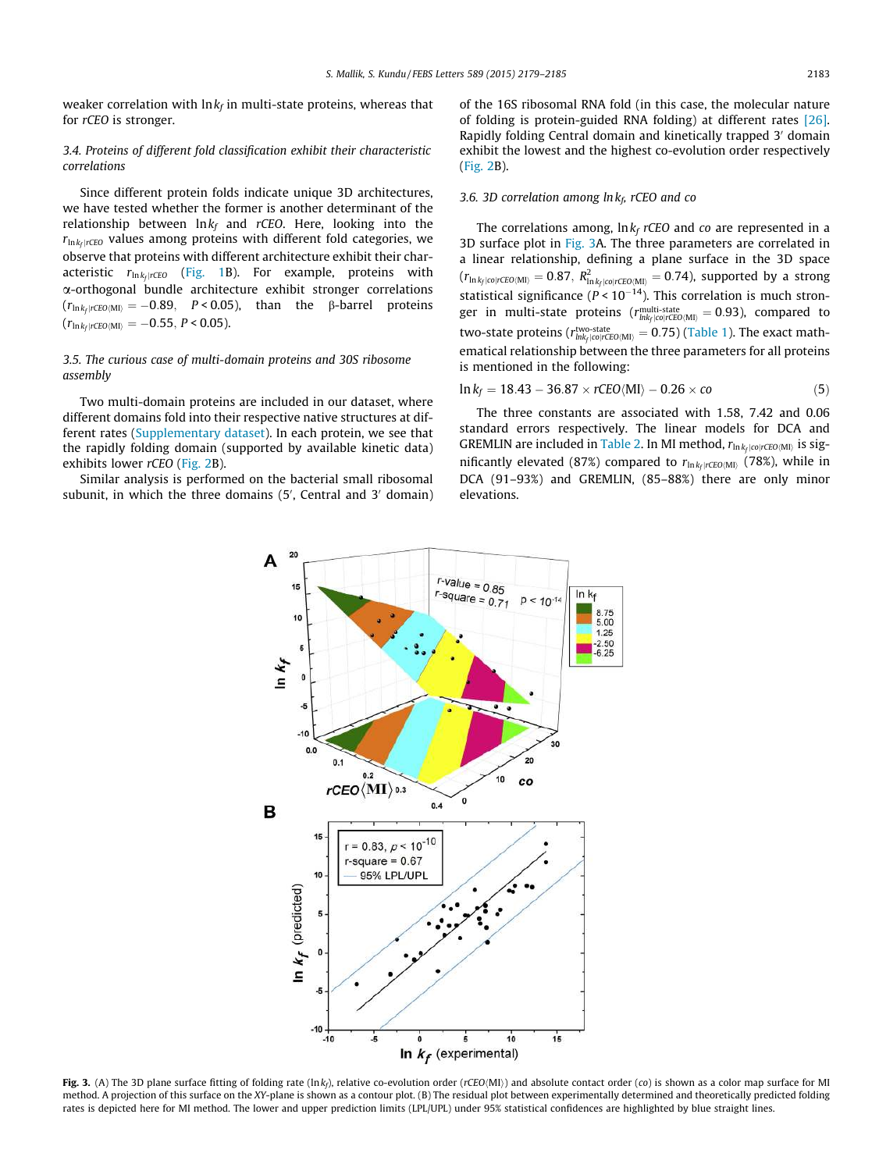weaker correlation with ln $k_{\it f}$  in multi-state proteins, whereas that for rCEO is stronger.

## 3.4. Proteins of different fold classification exhibit their characteristic correlations

Since different protein folds indicate unique 3D architectures, we have tested whether the former is another determinant of the relationship between  $ln k_f$  and rCEO. Here, looking into the  $r_{\ln k_f}$ r $\epsilon$ eo values among proteins with different fold categories, we observe that proteins with different architecture exhibit their characteristic  $r_{\ln k_f | r\text{CEO}}$  (Fig. 1B). For example, proteins with a-orthogonal bundle architecture exhibit stronger correlations  $(r_{\ln k_f | rCEO\langle \text{MI} \rangle} = -0.89, \quad P < 0.05)$ , than the  $\beta$ -barrel proteins  $(r_{\ln k_f|r\text{CEO} \langle \text{MI} \rangle} = -0.55, P < 0.05$ ).

#### 3.5. The curious case of multi-domain proteins and 30S ribosome assembly

Two multi-domain proteins are included in our dataset, where different domains fold into their respective native structures at different rates (Supplementary dataset). In each protein, we see that the rapidly folding domain (supported by available kinetic data) exhibits lower rCEO (Fig. 2B).

Similar analysis is performed on the bacterial small ribosomal subunit, in which the three domains  $(5'$ , Central and 3' domain)

of the 16S ribosomal RNA fold (in this case, the molecular nature of folding is protein-guided RNA folding) at different rates [26]. Rapidly folding Central domain and kinetically trapped 3' domain exhibit the lowest and the highest co-evolution order respectively (Fig. 2B).

### 3.6. 3D correlation among ln $k_f$ , rCEO and co

The correlations among,  $\ln k_f$  rCEO and co are represented in a 3D surface plot in Fig. 3A. The three parameters are correlated in a linear relationship, defining a plane surface in the 3D space  $(r_{\ln k_{\it f}|co|rCEO(M{\rm I})}=0.87,~R_{\ln k_{\it f}|co|rCEO(M{\rm I})}^2=0.74),~{\rm supported}~{\rm by}~{\rm a}~{\rm strong}$ statistical significance ( $P < 10^{-14}$ ). This correlation is much stronger in multi-state proteins  $(r_{\mathit{lnk}_f|col}(r_{\mathit{Enc}_f|TCB \setminus MI}) = 0.93)$ , compared to two-state proteins ( $r_{\mathit{lnk_f}|co|r\mathrm{CEO}\langle\mathrm{MI}\rangle}^{\mathrm{two-state}} = 0.75)$  (Table 1). The exact mathematical relationship between the three parameters for all proteins is mentioned in the following:

$$
\ln k_f = 18.43 - 36.87 \times rCEO\langle MI \rangle - 0.26 \times co \tag{5}
$$

The three constants are associated with 1.58, 7.42 and 0.06 standard errors respectively. The linear models for DCA and GREMLIN are included in Table 2. In MI method,  $r_{\ln k_f|col|T\cap EO(MI)}}$  is significantly elevated (87%) compared to  $r_{\ln k_f | r\in E O(\mathrm{MI})}$  (78%), while in DCA (91–93%) and GREMLIN, (85–88%) there are only minor elevations.



Fig. 3. (A) The 3D plane surface fitting of folding rate (lnkf), relative co-evolution order (rCEO(MI)) and absolute contact order (co) is shown as a color map surface for MI method. A projection of this surface on the XY-plane is shown as a contour plot. (B) The residual plot between experimentally determined and theoretically predicted folding rates is depicted here for MI method. The lower and upper prediction limits (LPL/UPL) under 95% statistical confidences are highlighted by blue straight lines.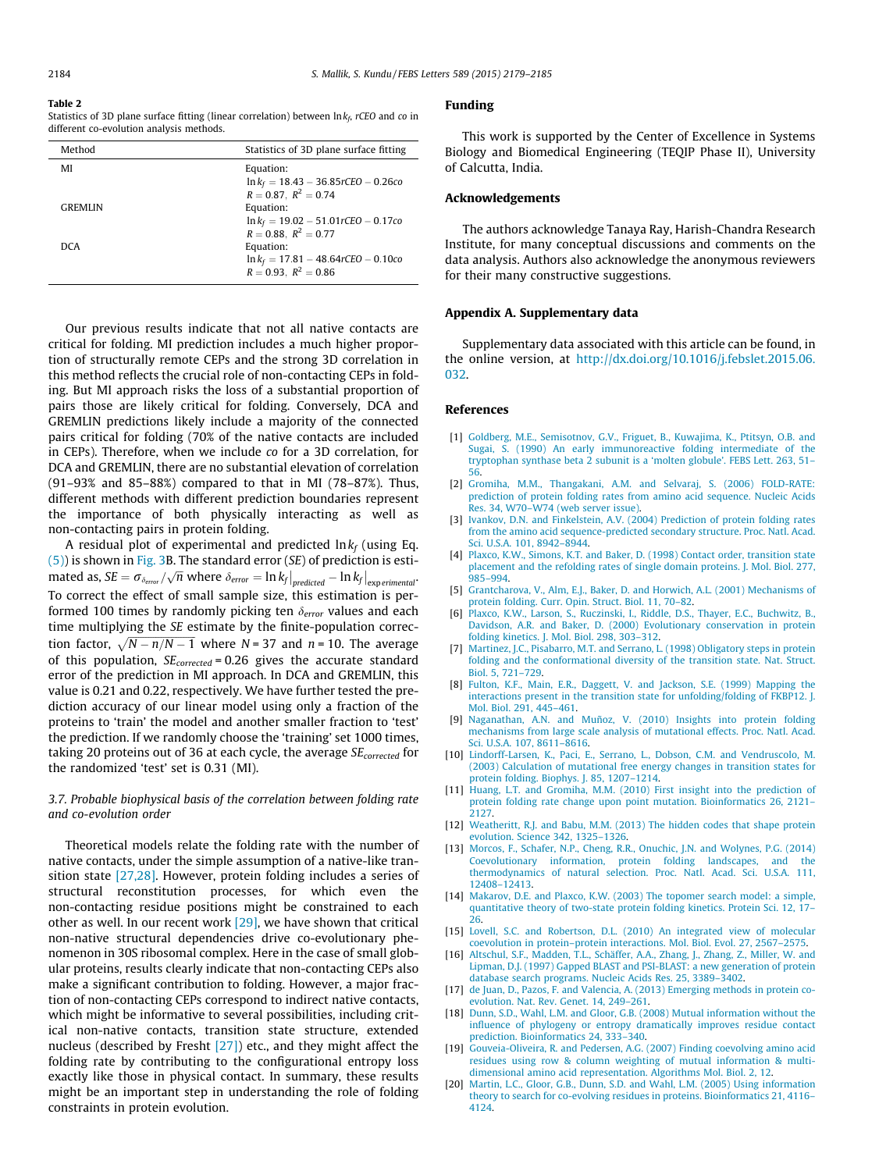#### Table 2

Statistics of 3D plane surface fitting (linear correlation) between  $\ln k_{\it f}$ , rCEO and  $\it co$  in different co-evolution analysis methods.

| Method         | Statistics of 3D plane surface fitting  |
|----------------|-----------------------------------------|
| MI             | Equation:                               |
|                | $\ln k_f = 18.43 - 36.85$ rCEO - 0.26co |
|                | $R = 0.87$ , $R^2 = 0.74$               |
| <b>GREMLIN</b> | Equation:                               |
|                | $\ln k_f = 19.02 - 51.01$ rCEO - 0.17co |
|                | $R = 0.88$ , $R^2 = 0.77$               |
| <b>DCA</b>     | Equation:                               |
|                | $\ln k_f = 17.81 - 48.64$ rCEO - 0.10co |
|                | $R = 0.93$ , $R^2 = 0.86$               |

Our previous results indicate that not all native contacts are critical for folding. MI prediction includes a much higher proportion of structurally remote CEPs and the strong 3D correlation in this method reflects the crucial role of non-contacting CEPs in folding. But MI approach risks the loss of a substantial proportion of pairs those are likely critical for folding. Conversely, DCA and GREMLIN predictions likely include a majority of the connected pairs critical for folding (70% of the native contacts are included in CEPs). Therefore, when we include co for a 3D correlation, for DCA and GREMLIN, there are no substantial elevation of correlation (91–93% and 85–88%) compared to that in MI (78–87%). Thus, different methods with different prediction boundaries represent the importance of both physically interacting as well as non-contacting pairs in protein folding.

A residual plot of experimental and predicted  $\ln k_f$  (using Eq.  $(5)$ ) is shown in Fig. 3B. The standard error (SE) of prediction is estimated as,  $SE = \sigma_{\delta_{error}} / \sqrt{n}$  where  $\delta_{error} = \ln k_f \vert_{predicted} - \ln k_f \vert_{experimental}$ . To correct the effect of small sample size, this estimation is performed 100 times by randomly picking ten  $\delta_{\text{error}}$  values and each time multiplying the SE estimate by the finite-population correction factor,  $\sqrt{N-n/N}-1$  where N = 37 and n = 10. The average of this population,  $SE_{corrected} = 0.26$  gives the accurate standard error of the prediction in MI approach. In DCA and GREMLIN, this value is 0.21 and 0.22, respectively. We have further tested the prediction accuracy of our linear model using only a fraction of the proteins to 'train' the model and another smaller fraction to 'test' the prediction. If we randomly choose the 'training' set 1000 times, taking 20 proteins out of 36 at each cycle, the average  $SE_{corrected}$  for the randomized 'test' set is 0.31 (MI).

#### 3.7. Probable biophysical basis of the correlation between folding rate and co-evolution order

Theoretical models relate the folding rate with the number of native contacts, under the simple assumption of a native-like transition state [27,28]. However, protein folding includes a series of structural reconstitution processes, for which even the non-contacting residue positions might be constrained to each other as well. In our recent work [29], we have shown that critical non-native structural dependencies drive co-evolutionary phenomenon in 30S ribosomal complex. Here in the case of small globular proteins, results clearly indicate that non-contacting CEPs also make a significant contribution to folding. However, a major fraction of non-contacting CEPs correspond to indirect native contacts, which might be informative to several possibilities, including critical non-native contacts, transition state structure, extended nucleus (described by Fresht [27]) etc., and they might affect the folding rate by contributing to the configurational entropy loss exactly like those in physical contact. In summary, these results might be an important step in understanding the role of folding constraints in protein evolution.

#### Funding

This work is supported by the Center of Excellence in Systems Biology and Biomedical Engineering (TEQIP Phase II), University of Calcutta, India.

#### Acknowledgements

The authors acknowledge Tanaya Ray, Harish-Chandra Research Institute, for many conceptual discussions and comments on the data analysis. Authors also acknowledge the anonymous reviewers for their many constructive suggestions.

#### Appendix A. Supplementary data

Supplementary data associated with this article can be found, in the online version, at http://dx.doi.org/10.1016/j.febslet.2015.06. 032.

#### References

- [1] Goldberg, M.E., Semisotnov, G.V., Friguet, B., Kuwajima, K., Ptitsyn, O.B. and Sugai, S. (1990) An early immunoreactive folding intermediate of the tryptophan synthase beta 2 subunit is a 'molten globule'. FEBS Lett. 263, 51– 56.
- [2] Gromiha, M.M., Thangakani, A.M. and Selvaraj, S. (2006) FOLD-RATE: prediction of protein folding rates from amino acid sequence. Nucleic Acids Res. 34, W70–W74 (web server issue).
- [3] Ivankov, D.N. and Finkelstein, A.V. (2004) Prediction of protein folding rates from the amino acid sequence-predicted secondary structure. Proc. Natl. Acad. Sci. U.S.A. 101, 8942-8944.
- [4] Plaxco, K.W., Simons, K.T. and Baker, D. (1998) Contact order, transition state placement and the refolding rates of single domain proteins. J. Mol. Biol. 277,  $985 - 994$
- [5] Grantcharova, V., Alm, E.J., Baker, D. and Horwich, A.L. (2001) Mechanisms of
- protein folding. Curr. Opin. Struct. Biol. 11, 70–82. [6] Plaxco, K.W., Larson, S., Ruczinski, I., Riddle, D.S., Thayer, E.C., Buchwitz, B., Davidson, A.R. and Baker, D. (2000) Evolutionary conservation in protein folding kinetics. J. Mol. Biol. 298, 303–312.
- [7] Martinez, J.C., Pisabarro, M.T. and Serrano, L. (1998) Obligatory steps in protein folding and the conformational diversity of the transition state. Nat. Struct. Biol. 5, 721–729.
- [8] Fulton, K.F., Main, E.R., Daggett, V. and Jackson, S.E. (1999) Mapping the interactions present in the transition state for unfolding/folding of FKBP12. J. Mol. Biol. 291, 445–461.
- [9] Naganathan, A.N. and Muñoz, V. (2010) Insights into protein folding mechanisms from large scale analysis of mutational effects. Proc. Natl. Acad. Sci. U.S.A. 107, 8611–8616.
- [10] Lindorff-Larsen, K., Paci, E., Serrano, L., Dobson, C.M. and Vendruscolo, M. (2003) Calculation of mutational free energy changes in transition states for protein folding. Biophys. J. 85, 1207–1214.
- [11] Huang, L.T. and Gromiha, M.M. (2010) First insight into the prediction of protein folding rate change upon point mutation. Bioinformatics 26, 2121– 2127.
- [12] Weatheritt, R.J. and Babu, M.M. (2013) The hidden codes that shape protein evolution. Science 342, 1325–1326.
- [13] Morcos, F., Schafer, N.P., Cheng, R.R., Onuchic, J.N. and Wolynes, P.G. (2014) Coevolutionary information, protein folding landscapes, and the thermodynamics of natural selection. Proc. Natl. Acad. Sci. U.S.A. 111, 12408–12413.
- [14] Makarov, D.E. and Plaxco, K.W. (2003) The topomer search model: a simple, quantitative theory of two-state protein folding kinetics. Protein Sci. 12, 17– 26.
- [15] Lovell, S.C. and Robertson, D.L. (2010) An integrated view of molecular coevolution in protein–protein interactions. Mol. Biol. Evol. 27, 2567–2575.
- [16] Altschul, S.F., Madden, T.L., Schäffer, A.A., Zhang, J., Zhang, Z., Miller, W. and Lipman, D.J. (1997) Gapped BLAST and PSI-BLAST: a new generation of protein database search programs. Nucleic Acids Res. 25, 3389–3402.
- [17] de Juan, D., Pazos, F. and Valencia, A. (2013) Emerging methods in protein coevolution. Nat. Rev. Genet. 14, 249–261.
- Dunn, S.D., Wahl, L.M. and Gloor, G.B. (2008) Mutual information without the influence of phylogeny or entropy dramatically improves residue contact prediction. Bioinformatics 24, 333–340.
- [19] Gouveia-Oliveira, R. and Pedersen, A.G. (2007) Finding coevolving amino acid residues using row & column weighting of mutual information & multidimensional amino acid representation. Algorithms Mol. Biol. 2, 12.
- [20] Martin, L.C., Gloor, G.B., Dunn, S.D. and Wahl, L.M. (2005) Using information theory to search for co-evolving residues in proteins. Bioinformatics 21, 4116– 4124.